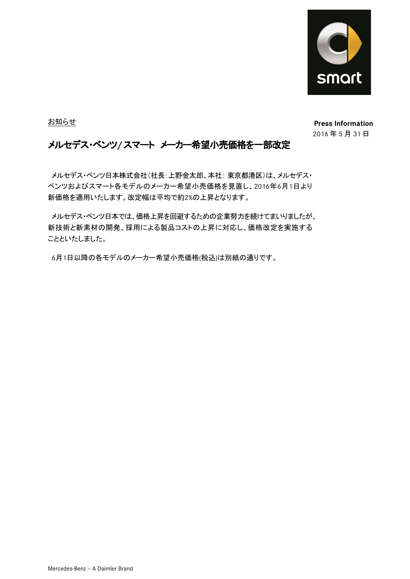

お知らせ

**Press Information** 䡣 2016 年 5 月 31 日

## メルセデス・ベンツ**/** スマート メーカー希望小売価格を一部改定

メルセデス・ベンツ日本株式会社(社長:上野金太郎、本社: 東京都港区)は、メルセデス・ ベンツおよびスマート各モデルのメーカー希望小売価格を見直し、2016年6月1日より 新価格を適用いたします。改定幅は平均で約2%の上昇となります。

メルセデス・ベンツ日本では、価格上昇を回避するための企業努力を続けてまいりましたが、 新技術と新素材の開発、採用による製品コストの上昇に対応し、価格改定を実施する ことといたしました。

6月1日以降の各モデルのメーカー希望小売価格(税込)は別紙の通りです。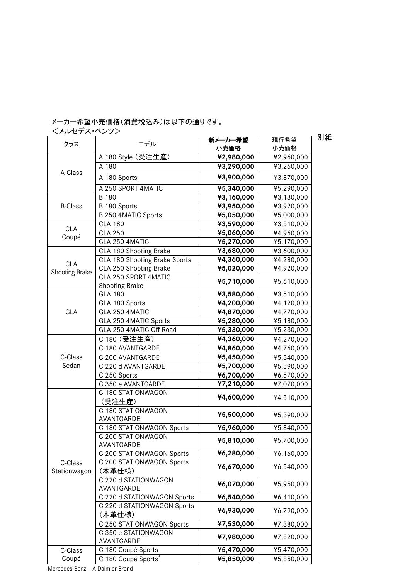## メーカー希望小売価格(消費税込み)は以下の通りです。

<メルセデス・ベンツ>

クラス | モデル | 新メーカー希望<br>フラス | モデル | ・・・・・・・・・・・・・・ 小売価格 現行希望 小売価格 A-Class A 180 Style (受注生産) **¥2,980,000** ¥2,960,000 A 180 **¥3,290,000** ¥3,260,000 A 180 Sports **¥3,900,000** ¥3,870,000 A 250 SPORT 4MATIC **¥5,340,000** ¥5,290,000 B-Class B 180 **¥3,160,000** ¥3,130,000 B 180 Sports **¥3,950,000** ¥3,920,000 B 250 4MATIC Sports **¥5,050,000** ¥5,000,000 CLA Coupé CLA 180 **¥3,590,000** ¥3,510,000 CLA 250 **¥5,060,000** ¥4,960,000 CLA 250 4MATIC **¥5,270,000** ¥5,170,000 CLA Shooting Brake CLA 180 Shooting Brake **¥3,680,000** ¥3,600,000 CLA 180 Shooting Brake Sports **¥4,360,000** ¥4,280,000 CLA 250 Shooting Brake **¥5,020,000** ¥4,920,000 CLA 250 SPORT 4MATIC Shooting Brake **¥5,710,000** ¥5,610,000 GLA GLA 180 **¥3,580,000 ¥**3,510,000 GLA 180 Sports  $\begin{array}{|c|c|c|c|}\n\hline\n\text{44,200,000} & \text{44,120,000}\n\hline\n\end{array}$ GLA 250 4MATIC  $\textbf{44,870,000}$   $\textbf{44,770,000}$ GLA 250 4MATIC Sports **¥5,280,000** ¥5,180,000 GLA 250 4MATIC Off-Road **¥5,330,000** ¥5,230,000 C-Class Sedan C 180 (受注生産) **¥4,360,000** ¥4,270,000 C 180 AVANTGARDE **¥4,860,000** ¥4,760,000 C 200 AVANTGARDE **¥5,450,000** ¥5,340,000 C 220 d AVANTGARDE **¥5,700,000** ¥5,590,000 C 250 Sports **¥6,700,000** ¥6,570,000 C 350 e AVANTGARDE **¥7,210,000** ¥7,070,000 C-Class Stationwagon C 180 STATIONWAGON (受注生産) **¥4,600,000** ¥4,510,000 C 180 STATIONWAGON AVANTGARDE **¥5,500,000** ¥5,390,000 C 180 STATIONWAGON Sports **¥5,960,000** ¥5,840,000 C 200 STATIONWAGON AVANTGARDE **¥5,810,000** ¥5,700,000 C 200 STATIONWAGON Sports **¥6,280,000** ¥6,160,000 C 200 STATIONWAGON Sports (本革仕様) **¥6,670,000** ¥6,540,000 C 220 d STATIONWAGON AVANTGARDE **¥6,070,000** ¥5,950,000 C 220 d STATIONWAGON Sports **¥6,540,000** ¥6,410,000 C 220 d STATIONWAGON Sports (本革仕様) **¥6,930,000** ¥6,790,000 C 250 STATIONWAGON Sports **¥7,530,000** ¥7,380,000 C 350 e STATIONWAGON AVANTGARDE **¥7,980,000** ¥7,820,000 C-Class C 180 Coupé Sports **¥5,470,000** ¥5,470,000

**¥5,850,000** ¥5,850,000

別紙

Mercedes-Benz – A Daimler Brand

C 180 Coupé Sports

Coupé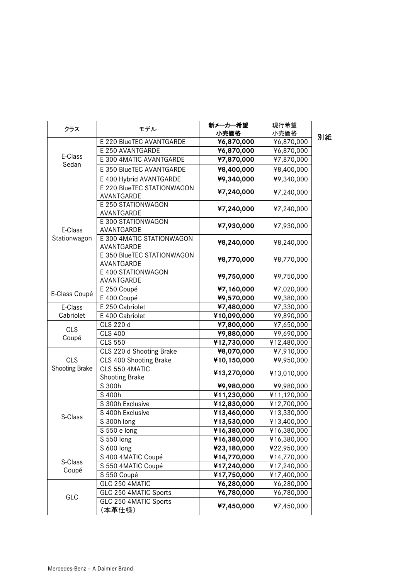| クラス              | モデル                                      | 新メーカー希望<br>小売価格 | 現行希望<br>小売価格 |    |
|------------------|------------------------------------------|-----------------|--------------|----|
|                  | E 220 BlueTEC AVANTGARDE                 | ¥6,870,000      | ¥6,870,000   | 別紙 |
| E-Class<br>Sedan | E 250 AVANTGARDE                         | ¥6,870,000      | ¥6,870,000   |    |
|                  | E 300 4MATIC AVANTGARDE                  | ¥7,870,000      |              |    |
|                  |                                          |                 | ¥7,870,000   |    |
|                  | E 350 BlueTEC AVANTGARDE                 | ¥8,400,000      | ¥8,400,000   |    |
|                  | E 400 Hybrid AVANTGARDE                  | ¥9,340,000      | ¥9,340,000   |    |
|                  | E 220 BlueTEC STATIONWAGON<br>AVANTGARDE | ¥7,240,000      | ¥7,240,000   |    |
|                  | E 250 STATIONWAGON<br>AVANTGARDE         | ¥7,240,000      | ¥7,240,000   |    |
| E-Class          | E 300 STATIONWAGON<br>AVANTGARDE         | ¥7,930,000      | ¥7,930,000   |    |
| Stationwagon     | E 300 4MATIC STATIONWAGON<br>AVANTGARDE  | ¥8,240,000      | ¥8,240,000   |    |
|                  | E 350 BlueTEC STATIONWAGON<br>AVANTGARDE | ¥8,770,000      | ¥8,770,000   |    |
|                  | E 400 STATIONWAGON<br>AVANTGARDE         | ¥9,750,000      | ¥9,750,000   |    |
|                  | E 250 Coupé                              | ¥7,160,000      | ¥7,020,000   |    |
| E-Class Coupé    | E 400 Coupé                              | ¥9,570,000      | ¥9,380,000   |    |
| E-Class          | E 250 Cabriolet                          | ¥7,480,000      | ¥7,330,000   |    |
| Cabriolet        | E 400 Cabriolet                          | ¥10,090,000     | ¥9,890,000   |    |
|                  | CLS 220 d                                | ¥7,800,000      | ¥7,650,000   |    |
| <b>CLS</b>       | <b>CLS 400</b>                           | ¥9,880,000      | ¥9,690,000   |    |
| Coupé            | <b>CLS 550</b>                           | ¥12,730,000     | ¥12,480,000  |    |
|                  | CLS 220 d Shooting Brake                 | ¥8,070,000      | ¥7,910,000   |    |
| <b>CLS</b>       | CLS 400 Shooting Brake                   | ¥10,150,000     | ¥9,950,000   |    |
| Shooting Brake   | CLS 550 4MATIC<br><b>Shooting Brake</b>  | ¥13,270,000     | ¥13,010,000  |    |
|                  | S 300h                                   | ¥9,980,000      | ¥9,980,000   |    |
|                  | S 400h                                   | ¥11,230,000     | ¥11,120,000  |    |
|                  | S 300h Exclusive                         | ¥12,830,000     | ¥12,700,000  |    |
|                  | S 400h Exclusive                         | ¥13,460,000     | ¥13,330,000  |    |
| S-Class          | S 300h long                              | ¥13,530,000     | ¥13,400,000  |    |
|                  | S 550 e long                             | ¥16,380,000     | ¥16,380,000  |    |
|                  | S 550 long                               | ¥16,380,000     | ¥16,380,000  |    |
|                  | S 600 long                               | ¥23,180,000     | ¥22,950,000  |    |
| S-Class<br>Coupé | S 400 4MATIC Coupé                       | ¥14,770,000     | ¥14,770,000  |    |
|                  | S 550 4MATIC Coupé                       | ¥17,240,000     | ¥17,240,000  |    |
|                  | S 550 Coupé                              | ¥17,750,000     | ¥17,400,000  |    |
| GLC              | GLC 250 4MATIC                           | ¥6,280,000      | ¥6,280,000   |    |
|                  | GLC 250 4MATIC Sports                    | ¥6,780,000      | ¥6,780,000   |    |
|                  | GLC 250 4MATIC Sports<br>(本革仕様)          | ¥7,450,000      | ¥7,450,000   |    |
|                  |                                          |                 |              |    |

Mercedes-Benz – A Daimler Brand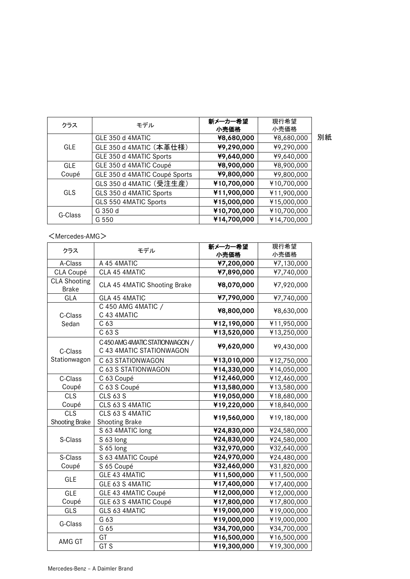| クラス        | モデル                           | 新メーカー希望     | 現行希望        |    |
|------------|-------------------------------|-------------|-------------|----|
|            |                               | 小売価格        | 小売価格        |    |
| <b>GLE</b> | GLE 350 d 4MATIC              | ¥8,680,000  | ¥8,680,000  | 別紙 |
|            | GLE 350 d 4MATIC (本革仕様)       | ¥9,290,000  | ¥9,290,000  |    |
|            | GLE 350 d 4MATIC Sports       | ¥9,640,000  | ¥9,640,000  |    |
| <b>GLE</b> | GLE 350 d 4MATIC Coupé        | ¥8,900,000  | ¥8,900,000  |    |
| Coupé      | GLE 350 d 4MATIC Coupé Sports | ¥9,800,000  | ¥9,800,000  |    |
| <b>GLS</b> | GLS 350 d 4MATIC (受注生産)       | ¥10,700,000 | ¥10,700,000 |    |
|            | GLS 350 d 4MATIC Sports       | ¥11,900,000 | ¥11,900,000 |    |
|            | GLS 550 4MATIC Sports         | ¥15,000,000 | ¥15,000,000 |    |
| G-Class    | G 350 d                       | ¥10,700,000 | ¥10,700,000 |    |
|            | G 550                         | ¥14,700,000 | ¥14,700,000 |    |

## <Mercedes-AMG>

| クラス                                 | モデル                                                         | 新メーカー希望     | 現行希望        |  |
|-------------------------------------|-------------------------------------------------------------|-------------|-------------|--|
|                                     |                                                             | 小売価格        | 小売価格        |  |
| A-Class                             | A 45 4MATIC                                                 | ¥7,200,000  | ¥7,130,000  |  |
| CLA Coupé                           | CLA 45 4MATIC                                               | ¥7,890,000  | ¥7,740,000  |  |
| <b>CLA Shooting</b><br><b>Brake</b> | CLA 45 4MATIC Shooting Brake                                | ¥8,070,000  | ¥7,920,000  |  |
| GLA                                 | GLA 45 4MATIC                                               | ¥7,790,000  | ¥7,740,000  |  |
| C-Class                             | C 450 AMG 4MATIC /<br>C 43 4MATIC                           | ¥8,800,000  | ¥8,630,000  |  |
| Sedan                               | C <sub>63</sub>                                             | ¥12,190,000 | ¥11,950,000 |  |
|                                     | C 63 S                                                      | ¥13,520,000 | ¥13,250,000 |  |
| C-Class                             | C 450 AMG 4MATIC STATIONWAGON /<br>C 43 4MATIC STATIONWAGON | ¥9,620,000  | ¥9,430,000  |  |
| Stationwagon                        | C 63 STATIONWAGON                                           | ¥13,010,000 | ¥12,750,000 |  |
|                                     | C 63 S STATIONWAGON                                         | ¥14,330,000 | ¥14,050,000 |  |
| C-Class                             | C 63 Coupé                                                  | ¥12,460,000 | ¥12,460,000 |  |
| Coupé                               | C 63 S Coupé                                                | ¥13,580,000 | ¥13,580,000 |  |
| <b>CLS</b>                          | <b>CLS 63 S</b>                                             | ¥19,050,000 | ¥18,680,000 |  |
| Coupé                               | CLS 63 S 4MATIC                                             | ¥19,220,000 | ¥18,840,000 |  |
| CLS                                 | CLS 63 S 4MATIC                                             | ¥19,560,000 | ¥19,180,000 |  |
| Shooting Brake                      | Shooting Brake                                              |             |             |  |
|                                     | S 63 4MATIC long                                            | ¥24,830,000 | ¥24,580,000 |  |
| S-Class                             | S 63 long                                                   | ¥24,830,000 | ¥24,580,000 |  |
|                                     | S 65 long                                                   | ¥32,970,000 | ¥32,640,000 |  |
| S-Class                             | S 63 4MATIC Coupé                                           | ¥24,970,000 | ¥24,480,000 |  |
| Coupé                               | S 65 Coupé                                                  | ¥32,460,000 | ¥31,820,000 |  |
| <b>GLE</b>                          | GLE 43 4MATIC                                               | ¥11,500,000 | ¥11,500,000 |  |
|                                     | GLE 63 S 4MATIC                                             | ¥17,400,000 | ¥17,400,000 |  |
| <b>GLE</b>                          | GLE 43 4MATIC Coupé                                         | ¥12,000,000 | ¥12,000,000 |  |
| Coupé                               | GLE 63 S 4MATIC Coupé                                       | ¥17,800,000 | ¥17,800,000 |  |
| GLS                                 | GLS 63 4MATIC                                               | ¥19,000,000 | ¥19,000,000 |  |
| G-Class                             | G 63                                                        | ¥19,000,000 | ¥19,000,000 |  |
|                                     | G 65                                                        | ¥34,700,000 | ¥34,700,000 |  |
|                                     | GT                                                          | ¥16,500,000 | ¥16,500,000 |  |
| AMG GT                              | GT <sub>S</sub>                                             | ¥19,300,000 | ¥19,300,000 |  |